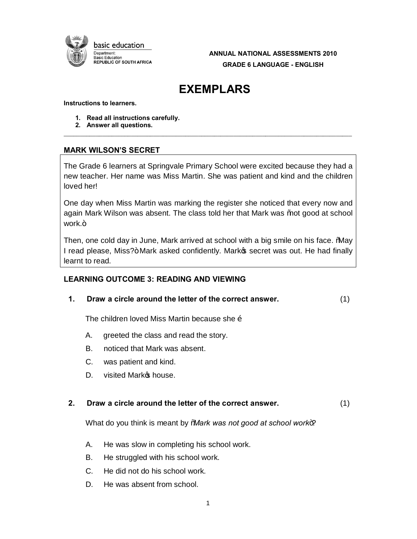

**ANNUAL NATIONAL ASSESSMENTS 2010 GRADE 6 LANGUAGE - ENGLISH** 

# **EXEMPLARS**

#### **Instructions to learners.**

- **1. Read all instructions carefully.**
- **2. Answer all questions.**

# **MARK WILSON'S SECRET**

The Grade 6 learners at Springvale Primary School were excited because they had a new teacher. Her name was Miss Martin. She was patient and kind and the children loved her!

\_\_\_\_\_\_\_\_\_\_\_\_\_\_\_\_\_\_\_\_\_\_\_\_\_\_\_\_\_\_\_\_\_\_\_\_\_\_\_\_\_\_\_\_\_\_\_\_\_\_\_\_\_\_\_\_\_\_\_\_\_\_\_\_\_\_\_\_\_\_\_\_\_\_\_\_\_\_\_\_\_\_\_\_\_\_\_\_\_\_

One day when Miss Martin was marking the register she noticed that every now and again Mark Wilson was absent. The class told her that Mark was % ot good at school work.+

Then, one cold day in June, Mark arrived at school with a big smile on his face. "May I read please, Miss?+Mark asked confidently. Marko secret was out. He had finally learnt to read.

# **LEARNING OUTCOME 3: READING AND VIEWING**

**1. Draw a circle around the letter of the correct answer.** (1)

The children loved Miss Martin because she  $\ddot{\text{o}}$ 

- A. greeted the class and read the story.
- B. noticed that Mark was absent.
- C. was patient and kind.
- D. visited Mark **s** house.

### **2. Draw a circle around the letter of the correct answer.** (1)

What do you think is meant by 'Mark was not good at school work+?

- A. He was slow in completing his school work.
- B. He struggled with his school work.
- C. He did not do his school work.
- D. He was absent from school.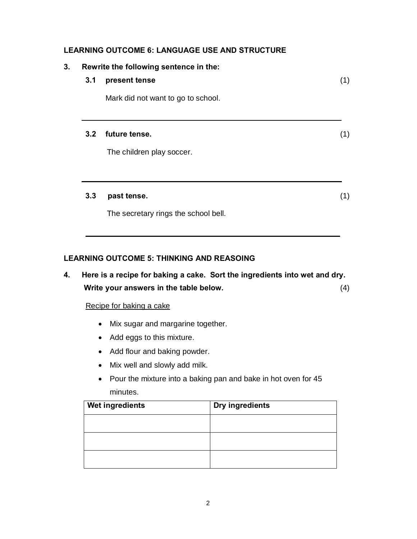# **LEARNING OUTCOME 6: LANGUAGE USE AND STRUCTURE**

| 3.1 | Rewrite the following sentence in the:<br>present tense | (1) |
|-----|---------------------------------------------------------|-----|
|     | Mark did not want to go to school.                      |     |
| 3.2 | future tense.                                           |     |
|     | The children play soccer.                               |     |
| 3.3 | past tense.                                             |     |
|     | The secretary rings the school bell.                    |     |

# **LEARNING OUTCOME 5: THINKING AND REASOING**

**4. Here is a recipe for baking a cake. Sort the ingredients into wet and dry. Write your answers in the table below.** (4)

### Recipe for baking a cake

- · Mix sugar and margarine together.
- · Add eggs to this mixture.
- · Add flour and baking powder.
- · Mix well and slowly add milk.
- · Pour the mixture into a baking pan and bake in hot oven for 45 minutes.

| Wet ingredients | Dry ingredients |
|-----------------|-----------------|
|                 |                 |
|                 |                 |
|                 |                 |